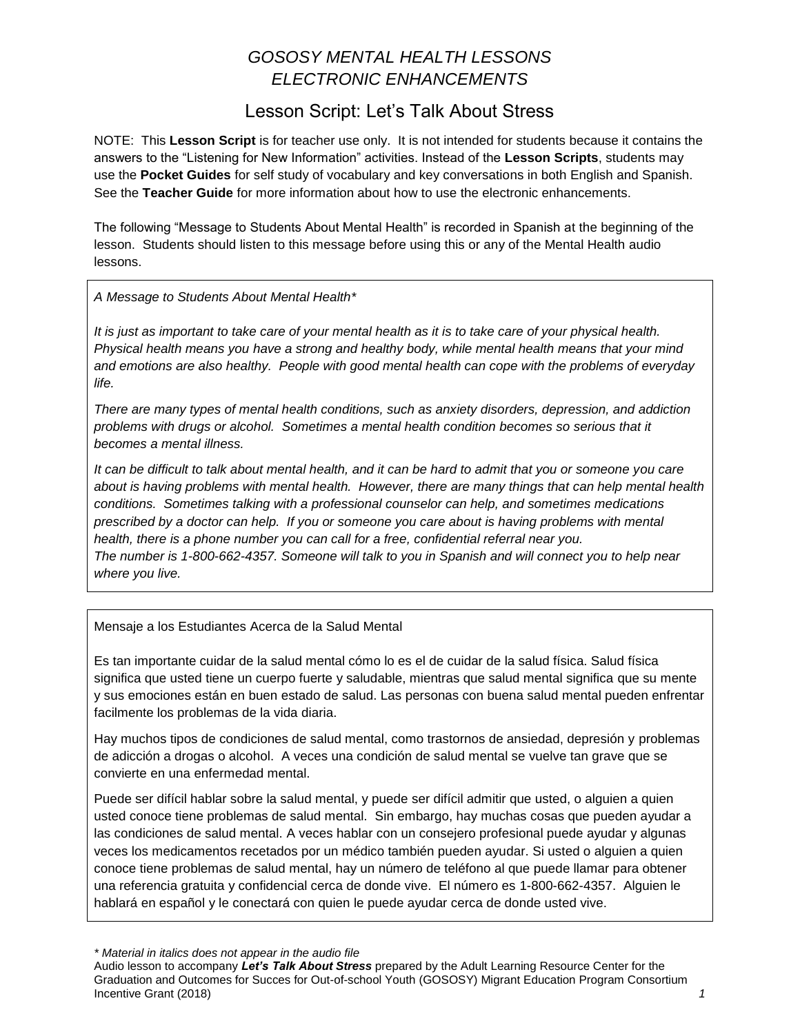## *GOSOSY MENTAL HEALTH LESSONS ELECTRONIC ENHANCEMENTS*

### Lesson Script: Let's Talk About Stress

NOTE: This **Lesson Script** is for teacher use only. It is not intended for students because it contains the answers to the "Listening for New Information" activities. Instead of the **Lesson Scripts**, students may use the **Pocket Guides** for self study of vocabulary and key conversations in both English and Spanish. See the **Teacher Guide** for more information about how to use the electronic enhancements.

The following "Message to Students About Mental Health" is recorded in Spanish at the beginning of the lesson. Students should listen to this message before using this or any of the Mental Health audio lessons.

*A Message to Students About Mental Health\**

*It is just as important to take care of your mental health as it is to take care of your physical health. Physical health means you have a strong and healthy body, while mental health means that your mind and emotions are also healthy. People with good mental health can cope with the problems of everyday life.*

*There are many types of mental health conditions, such as anxiety disorders, depression, and addiction problems with drugs or alcohol. Sometimes a mental health condition becomes so serious that it becomes a mental illness.* 

*It can be difficult to talk about mental health, and it can be hard to admit that you or someone you care about is having problems with mental health. However, there are many things that can help mental health conditions. Sometimes talking with a professional counselor can help, and sometimes medications prescribed by a doctor can help. If you or someone you care about is having problems with mental health, there is a phone number you can call for a free, confidential referral near you. The number is 1-800-662-4357. Someone will talk to you in Spanish and will connect you to help near where you live.*

Mensaje a los Estudiantes Acerca de la Salud Mental

Es tan importante cuidar de la salud mental cómo lo es el de cuidar de la salud física. Salud física significa que usted tiene un cuerpo fuerte y saludable, mientras que salud mental significa que su mente y sus emociones están en buen estado de salud. Las personas con buena salud mental pueden enfrentar facilmente los problemas de la vida diaria.

Hay muchos tipos de condiciones de salud mental, como trastornos de ansiedad, depresión y problemas de adicción a drogas o alcohol. A veces una condición de salud mental se vuelve tan grave que se convierte en una enfermedad mental.

Puede ser difícil hablar sobre la salud mental, y puede ser difícil admitir que usted, o alguien a quien usted conoce tiene problemas de salud mental. Sin embargo, hay muchas cosas que pueden ayudar a las condiciones de salud mental. A veces hablar con un consejero profesional puede ayudar y algunas veces los medicamentos recetados por un médico también pueden ayudar. Si usted o alguien a quien conoce tiene problemas de salud mental, hay un número de teléfono al que puede llamar para obtener una referencia gratuita y confidencial cerca de donde vive. El número es 1-800-662-4357. Alguien le hablará en español y le conectará con quien le puede ayudar cerca de donde usted vive.

*\* Material in italics does not appear in the audio file*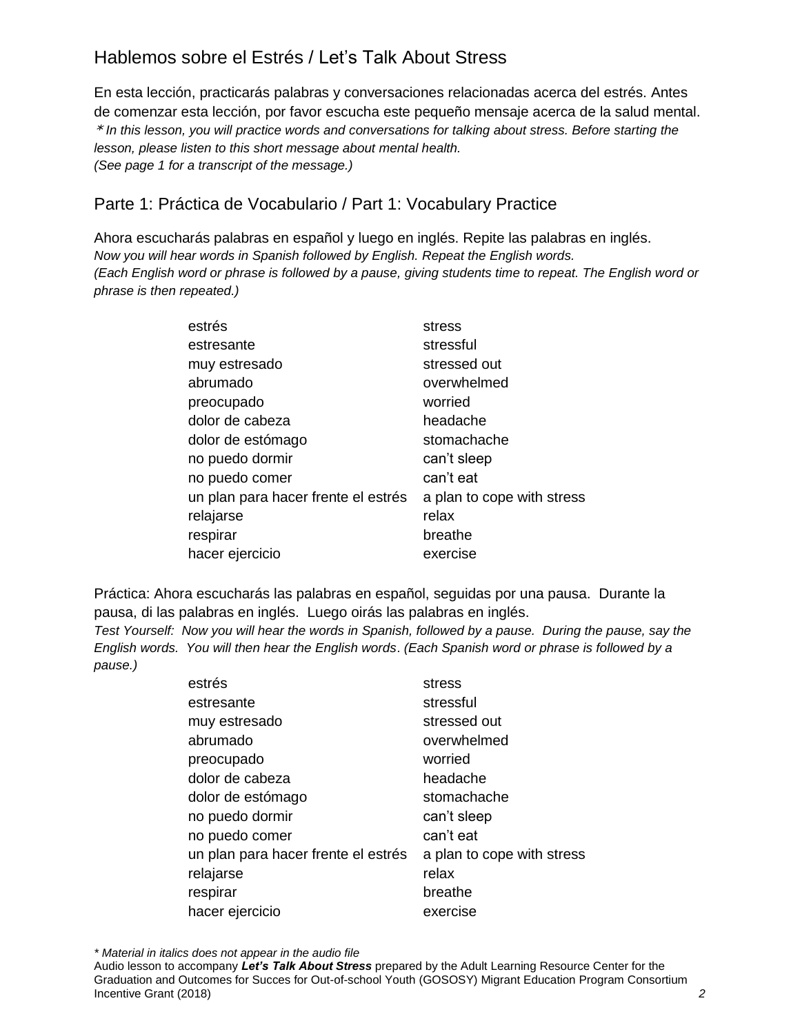# Hablemos sobre el Estrés / Let's Talk About Stress

En esta lección, practicarás palabras y conversaciones relacionadas acerca del estrés. Antes de comenzar esta lección, por favor escucha este pequeño mensaje acerca de la salud mental. \* *In this lesson, you will practice words and conversations for talking about stress. Before starting the lesson, please listen to this short message about mental health. (See page 1 for a transcript of the message.)* 

### Parte 1: Práctica de Vocabulario / Part 1: Vocabulary Practice

Ahora escucharás palabras en español y luego en inglés. Repite las palabras en inglés. *Now you will hear words in Spanish followed by English. Repeat the English words. (Each English word or phrase is followed by a pause, giving students time to repeat. The English word or phrase is then repeated.)*

| estrés                              | stress                     |
|-------------------------------------|----------------------------|
| estresante                          | stressful                  |
| muy estresado                       | stressed out               |
| abrumado                            | overwhelmed                |
| preocupado                          | worried                    |
| dolor de cabeza                     | headache                   |
| dolor de estómago                   | stomachache                |
| no puedo dormir                     | can't sleep                |
| no puedo comer                      | can't eat                  |
| un plan para hacer frente el estrés | a plan to cope with stress |
| relajarse                           | relax                      |
| respirar                            | breathe                    |
| hacer ejercicio                     | exercise                   |

Práctica: Ahora escucharás las palabras en español, seguidas por una pausa. Durante la pausa, di las palabras en inglés. Luego oirás las palabras en inglés.

*Test Yourself: Now you will hear the words in Spanish, followed by a pause. During the pause, say the English words. You will then hear the English words*. *(Each Spanish word or phrase is followed by a pause.)*

| estrés                              | stress                     |
|-------------------------------------|----------------------------|
| estresante                          | stressful                  |
| muy estresado                       | stressed out               |
| abrumado                            | overwhelmed                |
| preocupado                          | worried                    |
| dolor de cabeza                     | headache                   |
| dolor de estómago                   | stomachache                |
| no puedo dormir                     | can't sleep                |
| no puedo comer                      | can't eat                  |
| un plan para hacer frente el estrés | a plan to cope with stress |
| relajarse                           | relax                      |
| respirar                            | breathe                    |
| hacer ejercicio                     | exercise                   |
|                                     |                            |

*\* Material in italics does not appear in the audio file*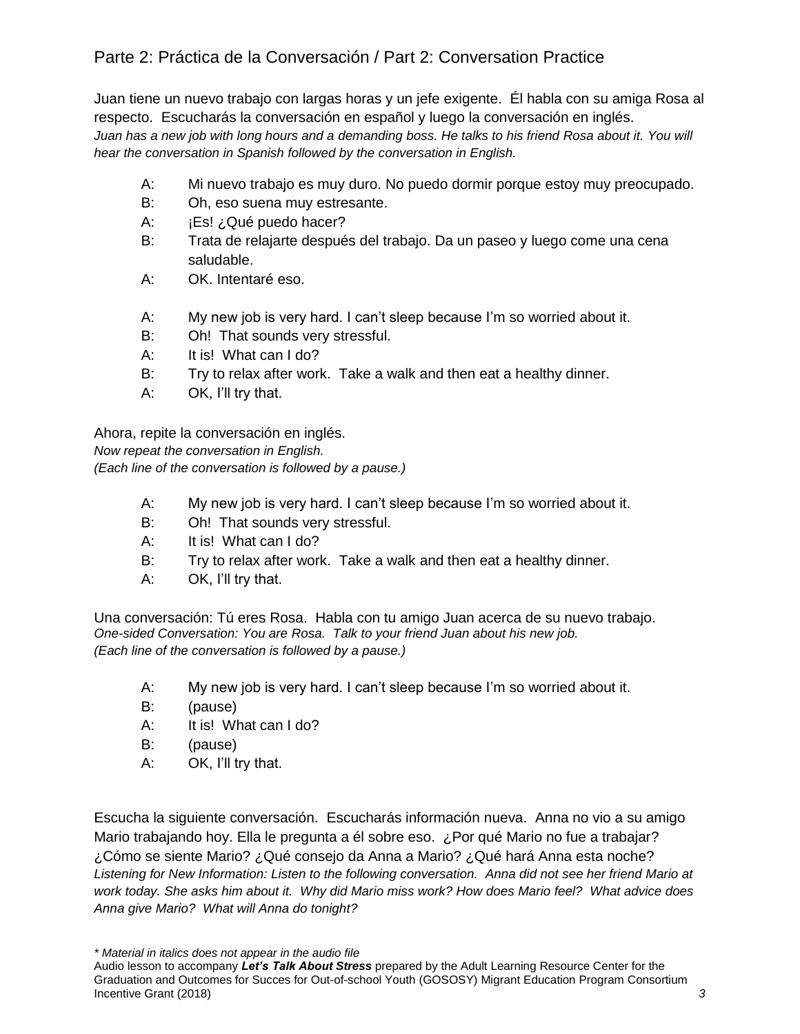## Parte 2: Práctica de la Conversación / Part 2: Conversation Practice

Juan tiene un nuevo trabajo con largas horas y un jefe exigente. Él habla con su amiga Rosa al respecto. Escucharás la conversación en español y luego la conversación en inglés. *Juan has a new job with long hours and a demanding boss. He talks to his friend Rosa about it. You will hear the conversation in Spanish followed by the conversation in English.* 

- A: Mi nuevo trabajo es muy duro. No puedo dormir porque estoy muy preocupado.
- B: Oh, eso suena muy estresante.
- A: **iEs! ¿Qué puedo hacer?**
- B: Trata de relajarte después del trabajo. Da un paseo y luego come una cena saludable.
- A: OK. Intentaré eso.
- A: My new job is very hard. I can't sleep because I'm so worried about it.
- B: Oh! That sounds very stressful.
- A: It is! What can I do?
- B: Try to relax after work. Take a walk and then eat a healthy dinner.
- A: OK, I'll try that.

Ahora, repite la conversación en inglés.

*Now repeat the conversation in English. (Each line of the conversation is followed by a pause.)*

- A: My new job is very hard. I can't sleep because I'm so worried about it.
- B: Oh! That sounds very stressful.
- A: It is! What can I do?
- B: Try to relax after work. Take a walk and then eat a healthy dinner.
- A: OK, I'll try that.

Una conversación: Tú eres Rosa. Habla con tu amigo Juan acerca de su nuevo trabajo. *One-sided Conversation: You are Rosa. Talk to your friend Juan about his new job. (Each line of the conversation is followed by a pause.)*

- A: My new job is very hard. I can't sleep because I'm so worried about it.
- B: (pause)
- A: It is! What can I do?
- B: (pause)
- A: OK, I'll try that.

Escucha la siguiente conversación. Escucharás información nueva. Anna no vio a su amigo Mario trabajando hoy. Ella le pregunta a él sobre eso. ¿Por qué Mario no fue a trabajar? ¿Cómo se siente Mario? ¿Qué consejo da Anna a Mario? ¿Qué hará Anna esta noche? *Listening for New Information: Listen to the following conversation. Anna did not see her friend Mario at work today. She asks him about it. Why did Mario miss work? How does Mario feel? What advice does Anna give Mario? What will Anna do tonight?* 

*\* Material in italics does not appear in the audio file*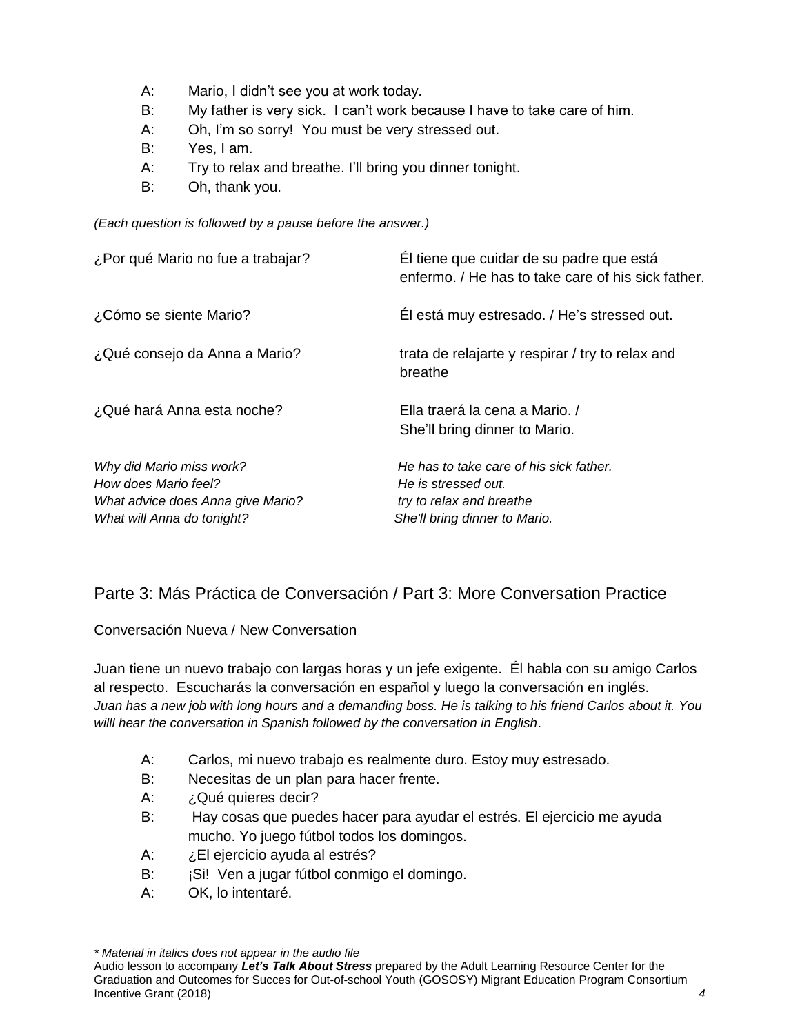- A: Mario, I didn't see you at work today.
- B: My father is very sick. I can't work because I have to take care of him.
- A: Oh, I'm so sorry! You must be very stressed out.
- B: Yes, I am.
- A: Try to relax and breathe. I'll bring you dinner tonight.
- B: Oh, thank you.

*(Each question is followed by a pause before the answer.)*

| ¿Por qué Mario no fue a trabajar?                                                     | Él tiene que cuidar de su padre que está<br>enfermo. / He has to take care of his sick father. |
|---------------------------------------------------------------------------------------|------------------------------------------------------------------------------------------------|
| ¿Cómo se siente Mario?                                                                | Él está muy estresado. / He's stressed out.                                                    |
| ¿Qué consejo da Anna a Mario?                                                         | trata de relajarte y respirar / try to relax and<br>breathe                                    |
| ¿Qué hará Anna esta noche?                                                            | Ella traerá la cena a Mario. /<br>She'll bring dinner to Mario.                                |
| Why did Mario miss work?<br>How does Mario feel?<br>What advice does Anna give Mario? | He has to take care of his sick father.<br>He is stressed out.<br>try to relax and breathe     |
| What will Anna do tonight?                                                            | She'll bring dinner to Mario.                                                                  |

### Parte 3: Más Práctica de Conversación / Part 3: More Conversation Practice

Conversación Nueva / New Conversation

Juan tiene un nuevo trabajo con largas horas y un jefe exigente. Él habla con su amigo Carlos al respecto. Escucharás la conversación en español y luego la conversación en inglés. *Juan has a new job with long hours and a demanding boss. He is talking to his friend Carlos about it. You willl hear the conversation in Spanish followed by the conversation in English*.

- A: Carlos, mi nuevo trabajo es realmente duro. Estoy muy estresado.
- B: Necesitas de un plan para hacer frente.
- A: ¿Qué quieres decir?
- B: Hay cosas que puedes hacer para ayudar el estrés. El ejercicio me ayuda mucho. Yo juego fútbol todos los domingos.
- A: ¿El ejercicio ayuda al estrés?
- B: jSi! Ven a jugar fútbol conmigo el domingo.
- A: OK, lo intentaré.

*\* Material in italics does not appear in the audio file*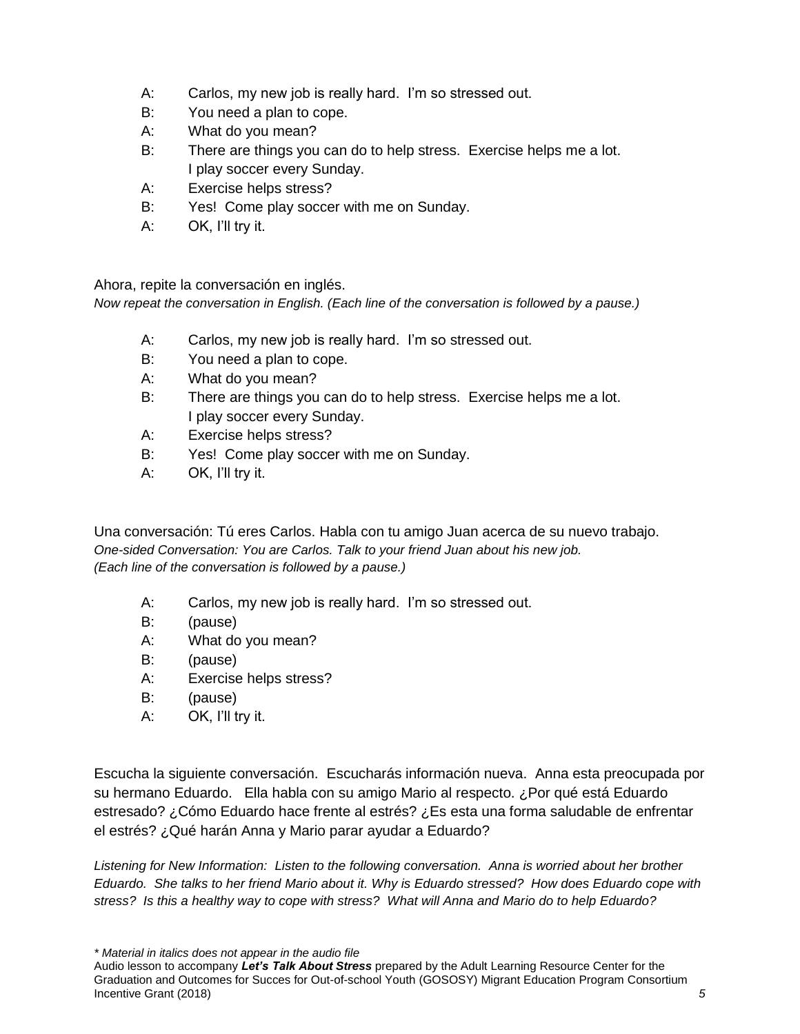- A: Carlos, my new job is really hard. I'm so stressed out.
- B: You need a plan to cope.
- A: What do you mean?
- B: There are things you can do to help stress. Exercise helps me a lot. I play soccer every Sunday.
- A: Exercise helps stress?
- B: Yes! Come play soccer with me on Sunday.
- A: OK, I'll try it.

Ahora, repite la conversación en inglés.

*Now repeat the conversation in English. (Each line of the conversation is followed by a pause.)*

- A: Carlos, my new job is really hard. I'm so stressed out.
- B: You need a plan to cope.
- A: What do you mean?
- B: There are things you can do to help stress. Exercise helps me a lot. I play soccer every Sunday.
- A: Exercise helps stress?
- B: Yes! Come play soccer with me on Sunday.
- A: OK, I'll try it.

Una conversación: Tú eres Carlos. Habla con tu amigo Juan acerca de su nuevo trabajo. *One-sided Conversation: You are Carlos. Talk to your friend Juan about his new job. (Each line of the conversation is followed by a pause.)*

- A: Carlos, my new job is really hard. I'm so stressed out.
- B: (pause)
- A: What do you mean?
- B: (pause)
- A: Exercise helps stress?
- B: (pause)
- A: OK, I'll try it.

Escucha la siguiente conversación. Escucharás información nueva. Anna esta preocupada por su hermano Eduardo. Ella habla con su amigo Mario al respecto. ¿Por qué está Eduardo estresado? ¿Cómo Eduardo hace frente al estrés? ¿Es esta una forma saludable de enfrentar el estrés? ¿Qué harán Anna y Mario parar ayudar a Eduardo?

*Listening for New Information: Listen to the following conversation. Anna is worried about her brother Eduardo. She talks to her friend Mario about it. Why is Eduardo stressed? How does Eduardo cope with stress? Is this a healthy way to cope with stress? What will Anna and Mario do to help Eduardo?*

*\* Material in italics does not appear in the audio file*

Audio lesson to accompany *Let's Talk About Stress* prepared by the Adult Learning Resource Center for the Graduation and Outcomes for Succes for Out-of-school Youth (GOSOSY) Migrant Education Program Consortium Incentive Grant (2018) *5*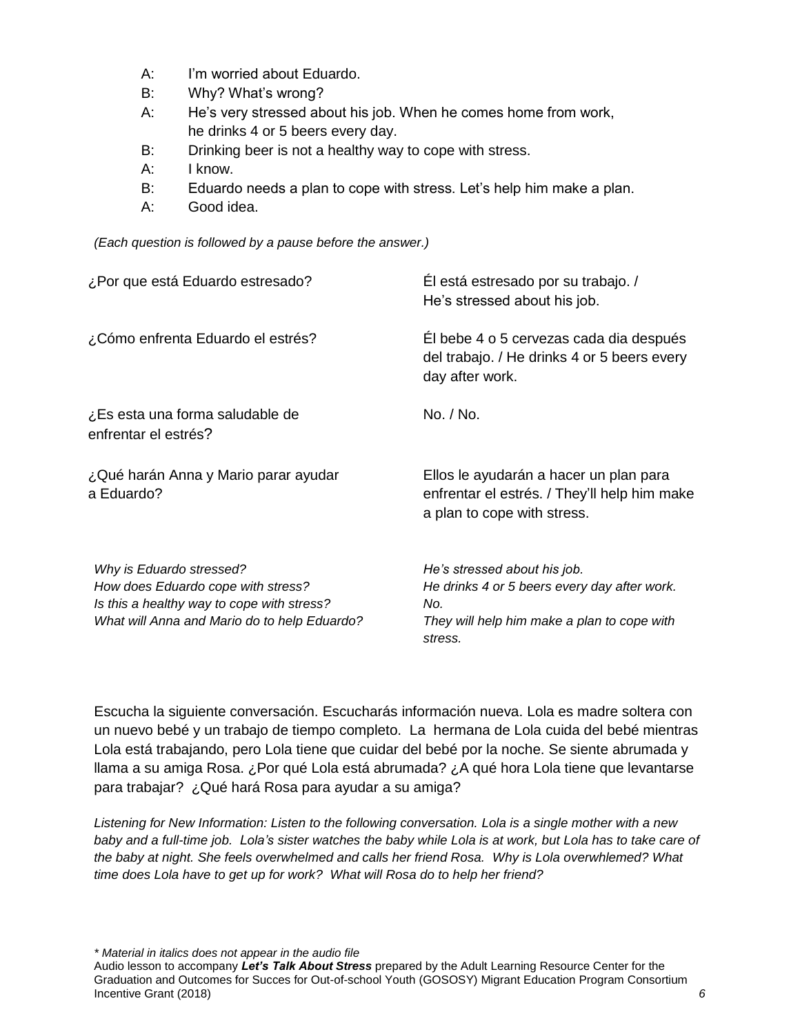- A: I'm worried about Eduardo.
- B: Why? What's wrong?
- A: He's very stressed about his job. When he comes home from work, he drinks 4 or 5 beers every day.
- B: Drinking beer is not a healthy way to cope with stress.
- A: I know.
- B: Eduardo needs a plan to cope with stress. Let's help him make a plan.
- A: Good idea.

*(Each question is followed by a pause before the answer.)*

| ¿Por que está Eduardo estresado?                                                                                                                             | El está estresado por su trabajo. /<br>He's stressed about his job.                                                                           |
|--------------------------------------------------------------------------------------------------------------------------------------------------------------|-----------------------------------------------------------------------------------------------------------------------------------------------|
| ¿Cómo enfrenta Eduardo el estrés?                                                                                                                            | El bebe 4 o 5 cervezas cada dia después<br>del trabajo. / He drinks 4 or 5 beers every<br>day after work.                                     |
| ¿Es esta una forma saludable de<br>enfrentar el estrés?                                                                                                      | No. / No.                                                                                                                                     |
| ¿Qué harán Anna y Mario parar ayudar<br>a Eduardo?                                                                                                           | Ellos le ayudarán a hacer un plan para<br>enfrentar el estrés. / They'll help him make<br>a plan to cope with stress.                         |
| Why is Eduardo stressed?<br>How does Eduardo cope with stress?<br>Is this a healthy way to cope with stress?<br>What will Anna and Mario do to help Eduardo? | He's stressed about his job.<br>He drinks 4 or 5 beers every day after work.<br>No.<br>They will help him make a plan to cope with<br>stress. |

Escucha la siguiente conversación. Escucharás información nueva. Lola es madre soltera con un nuevo bebé y un trabajo de tiempo completo. La hermana de Lola cuida del bebé mientras Lola está trabajando, pero Lola tiene que cuidar del bebé por la noche. Se siente abrumada y llama a su amiga Rosa. ¿Por qué Lola está abrumada? ¿A qué hora Lola tiene que levantarse para trabajar? ¿Qué hará Rosa para ayudar a su amiga?

*Listening for New Information: Listen to the following conversation. Lola is a single mother with a new baby and a full-time job. Lola's sister watches the baby while Lola is at work, but Lola has to take care of the baby at night. She feels overwhelmed and calls her friend Rosa. Why is Lola overwhlemed? What time does Lola have to get up for work? What will Rosa do to help her friend?* 

*\* Material in italics does not appear in the audio file*